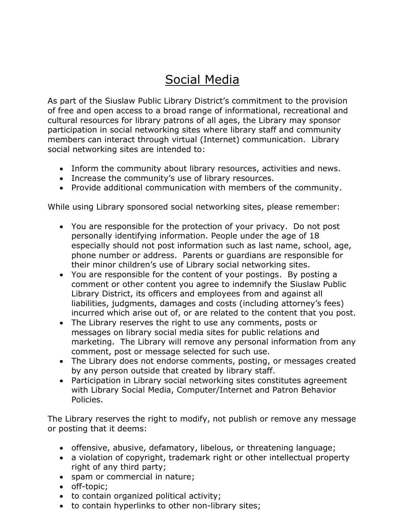## Social Media

As part of the Siuslaw Public Library District's commitment to the provision of free and open access to a broad range of informational, recreational and cultural resources for library patrons of all ages, the Library may sponsor participation in social networking sites where library staff and community members can interact through virtual (Internet) communication. Library social networking sites are intended to:

- Inform the community about library resources, activities and news.
- Increase the community's use of library resources.
- Provide additional communication with members of the community.

While using Library sponsored social networking sites, please remember:

- You are responsible for the protection of your privacy. Do not post personally identifying information. People under the age of 18 especially should not post information such as last name, school, age, phone number or address. Parents or guardians are responsible for their minor children's use of Library social networking sites.
- You are responsible for the content of your postings. By posting a comment or other content you agree to indemnify the Siuslaw Public Library District, its officers and employees from and against all liabilities, judgments, damages and costs (including attorney's fees) incurred which arise out of, or are related to the content that you post.
- The Library reserves the right to use any comments, posts or messages on library social media sites for public relations and marketing. The Library will remove any personal information from any comment, post or message selected for such use.
- The Library does not endorse comments, posting, or messages created by any person outside that created by library staff.
- Participation in Library social networking sites constitutes agreement with Library Social Media, Computer/Internet and Patron Behavior Policies.

The Library reserves the right to modify, not publish or remove any message or posting that it deems:

- offensive, abusive, defamatory, libelous, or threatening language;
- a violation of copyright, trademark right or other intellectual property right of any third party;
- spam or commercial in nature;
- off-topic;
- to contain organized political activity;
- to contain hyperlinks to other non-library sites;